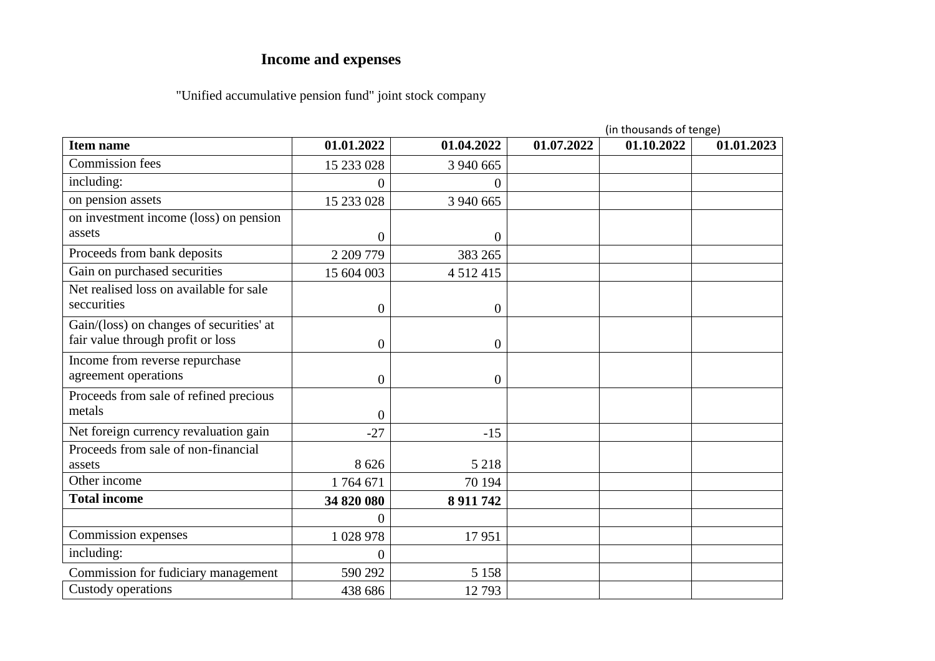## **Income and expenses**

## "Unified accumulative pension fund" joint stock company

|                                          |                  |                  | (in thousands of tenge) |            |            |  |
|------------------------------------------|------------------|------------------|-------------------------|------------|------------|--|
| <b>Item name</b>                         | 01.01.2022       | 01.04.2022       | 01.07.2022              | 01.10.2022 | 01.01.2023 |  |
| <b>Commission</b> fees                   | 15 233 028       | 3 940 665        |                         |            |            |  |
| including:                               | 0                | 0                |                         |            |            |  |
| on pension assets                        | 15 233 028       | 3 940 665        |                         |            |            |  |
| on investment income (loss) on pension   |                  |                  |                         |            |            |  |
| assets                                   | $\overline{0}$   | 0                |                         |            |            |  |
| Proceeds from bank deposits              | 2 209 779        | 383 265          |                         |            |            |  |
| Gain on purchased securities             | 15 604 003       | 4 5 1 2 4 1 5    |                         |            |            |  |
| Net realised loss on available for sale  |                  |                  |                         |            |            |  |
| seccurities                              | $\boldsymbol{0}$ | $\boldsymbol{0}$ |                         |            |            |  |
| Gain/(loss) on changes of securities' at |                  |                  |                         |            |            |  |
| fair value through profit or loss        | 0                | 0                |                         |            |            |  |
| Income from reverse repurchase           |                  |                  |                         |            |            |  |
| agreement operations                     | $\overline{0}$   | $\overline{0}$   |                         |            |            |  |
| Proceeds from sale of refined precious   |                  |                  |                         |            |            |  |
| metals                                   | $\overline{0}$   |                  |                         |            |            |  |
| Net foreign currency revaluation gain    | $-27$            | $-15$            |                         |            |            |  |
| Proceeds from sale of non-financial      |                  |                  |                         |            |            |  |
| assets                                   | 8 6 2 6          | 5 2 1 8          |                         |            |            |  |
| Other income                             | 1764671          | 70 194           |                         |            |            |  |
| <b>Total income</b>                      | 34 820 080       | 8 9 11 7 42      |                         |            |            |  |
|                                          | 0                |                  |                         |            |            |  |
| Commission expenses                      | 1 0 28 9 78      | 17951            |                         |            |            |  |
| including:                               | $\overline{0}$   |                  |                         |            |            |  |
| Commission for fudiciary management      | 590 292          | 5 1 5 8          |                         |            |            |  |
| Custody operations                       | 438 686          | 12793            |                         |            |            |  |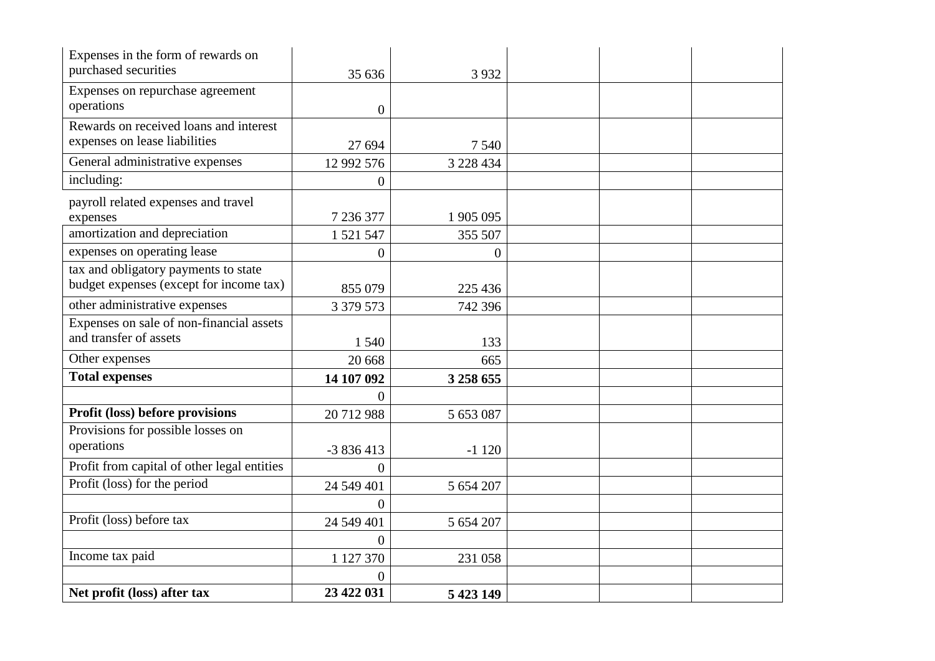| Expenses in the form of rewards on          |                  |                  |  |  |
|---------------------------------------------|------------------|------------------|--|--|
| purchased securities                        | 35 636           | 3 9 3 2          |  |  |
| Expenses on repurchase agreement            |                  |                  |  |  |
| operations                                  | $\boldsymbol{0}$ |                  |  |  |
| Rewards on received loans and interest      |                  |                  |  |  |
| expenses on lease liabilities               | 27 694           | 7 5 4 0          |  |  |
| General administrative expenses             | 12 992 576       | 3 228 434        |  |  |
| including:                                  | $\boldsymbol{0}$ |                  |  |  |
| payroll related expenses and travel         |                  |                  |  |  |
| expenses                                    | 7 236 377        | 1 905 095        |  |  |
| amortization and depreciation               | 1 521 547        | 355 507          |  |  |
| expenses on operating lease                 | $\boldsymbol{0}$ | $\boldsymbol{0}$ |  |  |
| tax and obligatory payments to state        |                  |                  |  |  |
| budget expenses (except for income tax)     | 855 079          | 225 436          |  |  |
| other administrative expenses               | 3 379 573        | 742 396          |  |  |
| Expenses on sale of non-financial assets    |                  |                  |  |  |
| and transfer of assets                      | 1 5 4 0          | 133              |  |  |
| Other expenses                              | 20 668           | 665              |  |  |
| <b>Total expenses</b>                       | 14 107 092       | 3 258 655        |  |  |
|                                             | 0                |                  |  |  |
| Profit (loss) before provisions             | 20712988         | 5 653 087        |  |  |
| Provisions for possible losses on           |                  |                  |  |  |
| operations                                  | $-3836413$       | $-1120$          |  |  |
| Profit from capital of other legal entities | $\Omega$         |                  |  |  |
| Profit (loss) for the period                | 24 549 401       | 5 654 207        |  |  |
|                                             | $\overline{0}$   |                  |  |  |
| Profit (loss) before tax                    | 24 549 401       | 5 654 207        |  |  |
|                                             | $\overline{0}$   |                  |  |  |
| Income tax paid                             | 1 127 370        | 231 058          |  |  |
|                                             | $\theta$         |                  |  |  |
| Net profit (loss) after tax                 | 23 422 031       | 5 423 149        |  |  |